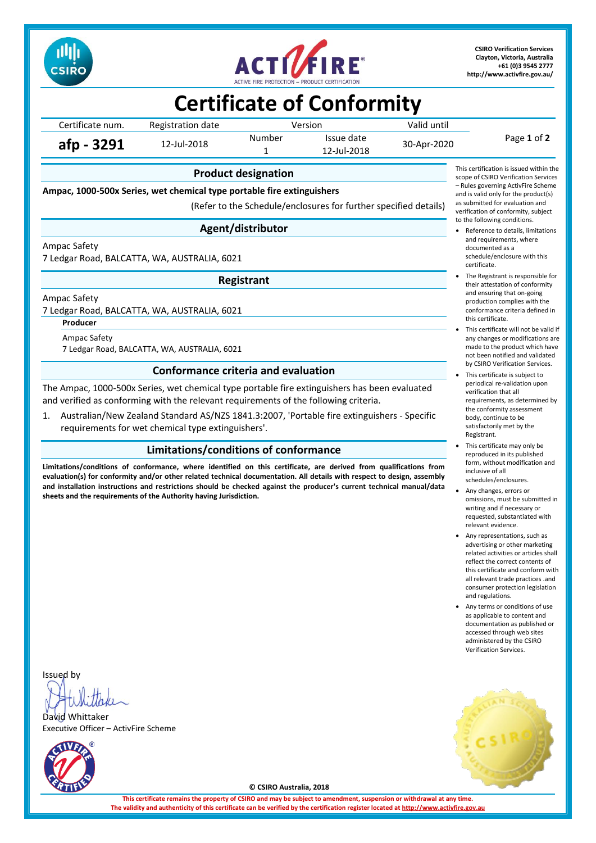



**CSIRO Verification Services Clayton, Victoria, Australia +61 (0)3 9545 2777 <http://www.activfire.gov.au/>**

## **Certificate of Conformity**

Certificate num. Registration date Version Version Valid until Page **1** of **2 afp - 3291** 12-Jul-2018 Number Issue date 30-Apr-2020<br>1 12-Jul-2018 12-Jul-2018

### **Product designation**

**Ampac, 1000-500x Series, wet chemical type portable fire extinguishers**

(Refer to the Schedule/enclosures for further specified details)

### **Agent/distributor**

Ampac Safety

7 Ledgar Road, BALCATTA, WA, AUSTRALIA, 6021

**Registrant**

Ampac Safety

7 Ledgar Road, BALCATTA, WA, AUSTRALIA, 6021

**Producer**

Ampac Safety 7 Ledgar Road, BALCATTA, WA, AUSTRALIA, 6021

### **Conformance criteria and evaluation**

The Ampac, 1000-500x Series, wet chemical type portable fire extinguishers has been evaluated and verified as conforming with the relevant requirements of the following criteria.

1. Australian/New Zealand Standard AS/NZS 1841.3:2007, 'Portable fire extinguishers - Specific requirements for wet chemical type extinguishers'.

### **Limitations/conditions of conformance**

**Limitations/conditions of conformance, where identified on this certificate, are derived from qualifications from evaluation(s) for conformity and/or other related technical documentation. All details with respect to design, assembly and installation instructions and restrictions should be checked against the producer's current technical manual/data sheets and the requirements of the Authority having Jurisdiction.**



- Reference to details, limitations and requirements, where documented as a schedule/enclosure with this certificate.
- The Registrant is responsible for their attestation of conformity and ensuring that on-going production complies with the conformance criteria defined in this certificate.
- This certificate will not be valid if any changes or modifications are made to the product which have not been notified and validated by CSIRO Verification Services.
- This certificate is subject to periodical re-validation upon verification that all requirements, as determined by the conformity assessment body, continue to be satisfactorily met by the Registrant.
- This certificate may only be reproduced in its published form, without modification and inclusive of all schedules/enclosures.
- Any changes, errors or omissions, must be submitted in writing and if necessary or requested, substantiated with relevant evidence.
- Any representations, such as advertising or other marketing related activities or articles shall reflect the correct contents of this certificate and conform with all relevant trade practices .and consumer protection legislation and regulations.
- Any terms or conditions of use as applicable to content and documentation as published or accessed through web sites administered by the CSIRO Verification Services.



David Whittaker Executive Officer – ActivFire Scheme





**© CSIRO Australia, 2018**

**This certificate remains the property of CSIRO and may be subject to amendment, suspension or withdrawal at any time.** The validity and authenticity of this certificate can be verified by the certification register located at http://www.activ